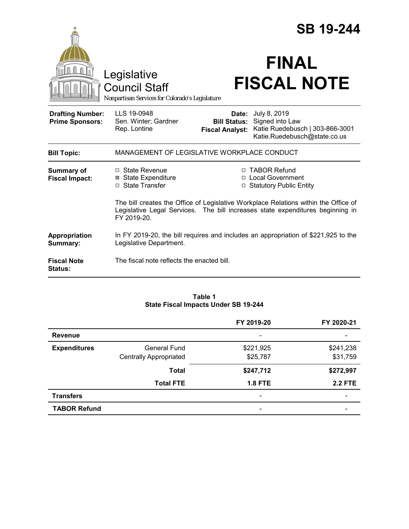|                                                   | Legislative<br><b>Council Staff</b><br>Nonpartisan Services for Colorado's Legislature                                                                                               |                                                        | <b>SB 19-244</b><br><b>FINAL</b><br><b>FISCAL NOTE</b>                                             |  |
|---------------------------------------------------|--------------------------------------------------------------------------------------------------------------------------------------------------------------------------------------|--------------------------------------------------------|----------------------------------------------------------------------------------------------------|--|
| <b>Drafting Number:</b><br><b>Prime Sponsors:</b> | LLS 19-0948<br>Sen. Winter; Gardner<br>Rep. Lontine                                                                                                                                  | Date:<br><b>Bill Status:</b><br><b>Fiscal Analyst:</b> | July 8, 2019<br>Signed into Law<br>Katie Ruedebusch   303-866-3001<br>Katie.Ruedebusch@state.co.us |  |
| <b>Bill Topic:</b>                                | MANAGEMENT OF LEGISLATIVE WORKPLACE CONDUCT                                                                                                                                          |                                                        |                                                                                                    |  |
| <b>Summary of</b><br><b>Fiscal Impact:</b>        | $\Box$ State Revenue<br><b>⊠</b> State Expenditure<br>□ State Transfer                                                                                                               |                                                        | □ TABOR Refund<br>□ Local Government<br>□ Statutory Public Entity                                  |  |
|                                                   | The bill creates the Office of Legislative Workplace Relations within the Office of<br>Legislative Legal Services. The bill increases state expenditures beginning in<br>FY 2019-20. |                                                        |                                                                                                    |  |
| Appropriation<br>Summary:                         | In FY 2019-20, the bill requires and includes an appropriation of \$221,925 to the<br>Legislative Department.                                                                        |                                                        |                                                                                                    |  |
| <b>Fiscal Note</b><br><b>Status:</b>              | The fiscal note reflects the enacted bill.                                                                                                                                           |                                                        |                                                                                                    |  |

#### **Table 1 State Fiscal Impacts Under SB 19-244**

|                     |                               | FY 2019-20                   | FY 2020-21               |
|---------------------|-------------------------------|------------------------------|--------------------------|
| <b>Revenue</b>      |                               | $\qquad \qquad \blacksquare$ |                          |
| <b>Expenditures</b> | <b>General Fund</b>           | \$221,925                    | \$241,238                |
|                     | <b>Centrally Appropriated</b> | \$25,787                     | \$31,759                 |
|                     | <b>Total</b>                  | \$247,712                    | \$272,997                |
|                     | <b>Total FTE</b>              | <b>1.8 FTE</b>               | <b>2.2 FTE</b>           |
| <b>Transfers</b>    |                               | $\qquad \qquad \blacksquare$ | $\overline{\phantom{0}}$ |
| <b>TABOR Refund</b> |                               |                              |                          |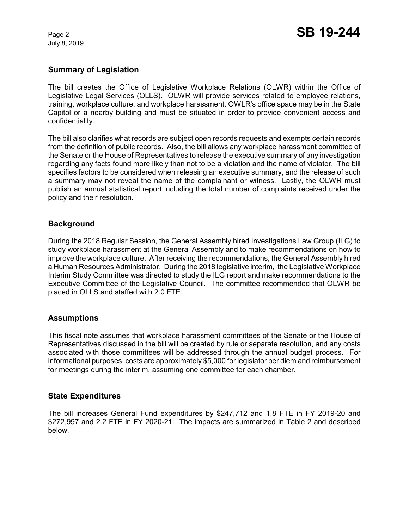July 8, 2019

# **Summary of Legislation**

The bill creates the Office of Legislative Workplace Relations (OLWR) within the Office of Legislative Legal Services (OLLS). OLWR will provide services related to employee relations, training, workplace culture, and workplace harassment. OWLR's office space may be in the State Capitol or a nearby building and must be situated in order to provide convenient access and confidentiality.

The bill also clarifies what records are subject open records requests and exempts certain records from the definition of public records. Also, the bill allows any workplace harassment committee of the Senate or the House of Representatives to release the executive summary of any investigation regarding any facts found more likely than not to be a violation and the name of violator. The bill specifies factors to be considered when releasing an executive summary, and the release of such a summary may not reveal the name of the complainant or witness. Lastly, the OLWR must publish an annual statistical report including the total number of complaints received under the policy and their resolution.

# **Background**

During the 2018 Regular Session, the General Assembly hired Investigations Law Group (ILG) to study workplace harassment at the General Assembly and to make recommendations on how to improve the workplace culture. After receiving the recommendations, the General Assembly hired a Human Resources Administrator. During the 2018 legislative interim, the Legislative Workplace Interim Study Committee was directed to study the ILG report and make recommendations to the Executive Committee of the Legislative Council. The committee recommended that OLWR be placed in OLLS and staffed with 2.0 FTE.

### **Assumptions**

This fiscal note assumes that workplace harassment committees of the Senate or the House of Representatives discussed in the bill will be created by rule or separate resolution, and any costs associated with those committees will be addressed through the annual budget process. For informational purposes, costs are approximately \$5,000 for legislator per diem and reimbursement for meetings during the interim, assuming one committee for each chamber.

### **State Expenditures**

The bill increases General Fund expenditures by \$247,712 and 1.8 FTE in FY 2019-20 and \$272,997 and 2.2 FTE in FY 2020-21. The impacts are summarized in Table 2 and described below.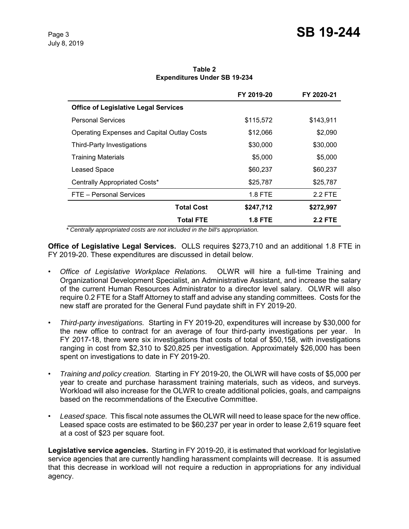| Table 2                             |  |  |  |  |  |
|-------------------------------------|--|--|--|--|--|
| <b>Expenditures Under SB 19-234</b> |  |  |  |  |  |

|                                                    | FY 2019-20 | FY 2020-21     |
|----------------------------------------------------|------------|----------------|
| <b>Office of Legislative Legal Services</b>        |            |                |
| <b>Personal Services</b>                           | \$115,572  | \$143,911      |
| <b>Operating Expenses and Capital Outlay Costs</b> | \$12,066   | \$2,090        |
| Third-Party Investigations                         | \$30,000   | \$30,000       |
| <b>Training Materials</b>                          | \$5,000    | \$5,000        |
| Leased Space                                       | \$60,237   | \$60,237       |
| Centrally Appropriated Costs*                      | \$25,787   | \$25,787       |
| FTE - Personal Services                            | 1.8 FTE    | 2.2 FTE        |
| <b>Total Cost</b>                                  | \$247,712  | \$272,997      |
| <b>Total FTE</b>                                   | 1.8 FTE    | <b>2.2 FTE</b> |

 *\* Centrally appropriated costs are not included in the bill's appropriation.*

**Office of Legislative Legal Services.** OLLS requires \$273,710 and an additional 1.8 FTE in FY 2019-20. These expenditures are discussed in detail below.

- *Office of Legislative Workplace Relations.* OLWR will hire a full-time Training and Organizational Development Specialist, an Administrative Assistant, and increase the salary of the current Human Resources Administrator to a director level salary. OLWR will also require 0.2 FTE for a Staff Attorney to staff and advise any standing committees. Costs for the new staff are prorated for the General Fund paydate shift in FY 2019-20.
- *Third-party investigations.* Starting in FY 2019-20, expenditures will increase by \$30,000 for the new office to contract for an average of four third-party investigations per year. In FY 2017-18, there were six investigations that costs of total of \$50,158, with investigations ranging in cost from \$2,310 to \$20,825 per investigation. Approximately \$26,000 has been spent on investigations to date in FY 2019-20.
- *Training and policy creation.* Starting in FY 2019-20, the OLWR will have costs of \$5,000 per year to create and purchase harassment training materials, such as videos, and surveys. Workload will also increase for the OLWR to create additional policies, goals, and campaigns based on the recommendations of the Executive Committee.
- *Leased space.* This fiscal note assumes the OLWR will need to lease space for the new office. Leased space costs are estimated to be \$60,237 per year in order to lease 2,619 square feet at a cost of \$23 per square foot.

**Legislative service agencies.** Starting in FY 2019-20, it is estimated that workload for legislative service agencies that are currently handling harassment complaints will decrease. It is assumed that this decrease in workload will not require a reduction in appropriations for any individual agency.